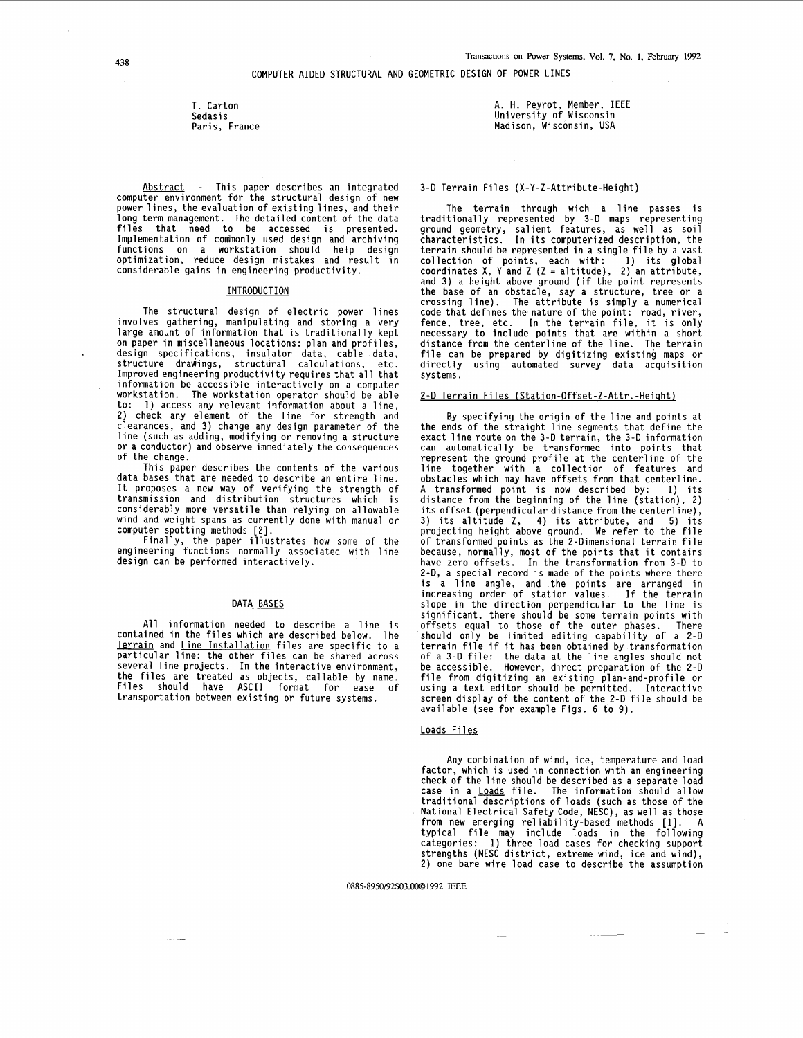T. Carton Sedasi s Paris, France

Abstract - This paper describes an integrated computer environment for the structural design of new power lines, the evaluation of existing lines, and their long term management. The detailed content of the data files that need to be accessed is presented. Implementation of commonly used design and archiving functions on a workstation should help design<br>optimization, reduce design-mistakes and result in considerable gains in engineering productivity.

## INTRODUCTION

The structural design of electric power ines involves gathering, manipulating and storing a very large amount of information that is traditionally kept on paper in miscellaneous locations: plan and profiles, design specifications, insulator data, cable structure draWinqs. structural calculations. ata, etc. Improved engineering productivity requires that all that information be accessible interactively on a computer workstation. The workstation operator should be able to: 1) access any relevant information about a line, 2) check any element of the line for strength and clearances, and 3) change any design parameter of the line (such as adding, modifying or removing a structure or a conductor) and observe immediately the consequences of the change.

This paper describes the contents of the various data bases that are needed to describe an entire line. It proposes a new way of verifying the strength of transmission and distribution structures which is considerably more versatile than relying on allowable wind and weight spans as currently done with manual or<br>computer spotting methods [2].

Finally, the paper illustrates how some of the engineering functions normally associated with line design can be performed interactively.

#### DATA BASES

All information needed to describe a line is contained in the files which are described below. The Terrain and Line Installation files are specific to a particular line: the other files can be shared across particular time. The interactive environment,<br>the files are treated as objects, callable by name.<br>Files should have ASCII format for ease of transportation between existing or future systems.

A. **H.** Peyrot, Member, IEEE University of Wisconsin Madison, Wisconsin, USA

#### 3-D Terrain Files **(X-Y-Z-Attribute-Heiaht)**

The terrain through wich a line passes is traditionally represented by 3-D maps representing ground geometry, salient features, as well as soil characteristics. In its computerized description, the terrain should be represented in a single file by a vast collection of points, each with: 1) its global coordinates **X, Y** and **Z** (Z = altitude), 2) an attribute, and 3) a height above ground (if the point represents the base of an obstacle, say a structure, tree or a<br>crossing line). The attribute is simply a numerical code that defines the nature of the point: road, river, fence, tree, etc. In the terrain file, it is only necessary to include points that are within a short distance from the centerline of the line. The terrain file can be prepared by digitizing existing maps or directly using automated survey data acquisition systems.

## 2-D Terrain Files **(Station-Offset-Z-Attr.-Heiqht)**

By specifying the origin of the line and points at the ends of the straight line segments that define the exact line route on the 3-D terrain, the 3-D information can automatically be transformed into points that represent the ground profile at the centerline **of** the line together with a collection of features and obstacles which may have offsets from that centerline. A transformed point is now described by: 1) its distance from the beginning of the line (station), 2) its offset (perpendicular distance from the centerline), 3) its altitude Z, **4)** its attribute, and **5)** its projecting height above ground. We refer to the file of transformed points as the 2-Dimensional terrain file because, normally, most of the points that it contains have zero offsets. In the transformation from 3-D to 2-D, a special record is made of the points where there is a line angle, and the points are arranged in increasing order of station values. If the terrain slope in the direction perpendicular to the line is significant, there should be some terrain points with offsets equal to those of the outer phases. There should only be limited editing capability of a 2-0 terrain file if it has been obtained by transformation of a 3-0 file: the data at the line angles should not be accessible. However, direct preparation of the 2-D file from digitizing an existing plan-and-profile or using a text editor should be permitted. Interactive screen display of the content of the.2-D file should be available (see for example [Figs. 6](#page-4-0) to 9).

### Loads Files

Any combination of wind, ice, temperature and load factor, which is used in connection with an engineering check of the line should be described as a separate load check of the line should be described as a separate load<br>case in a <u>Loads</u> file. The information should allow<br>traditional descriptions of loads (such as those of the<br>National Electrical Safety Code, NESC), as well as those from new emerging reliability-based methods [l]. A typical file may include loads in the following categories: 1) three load cases for checking support strengths (NESC district, extreme wind, ice and wind), 2) one bare wire load case to describe the assumption

0885-8950/92\$03.0001992 **IEEE**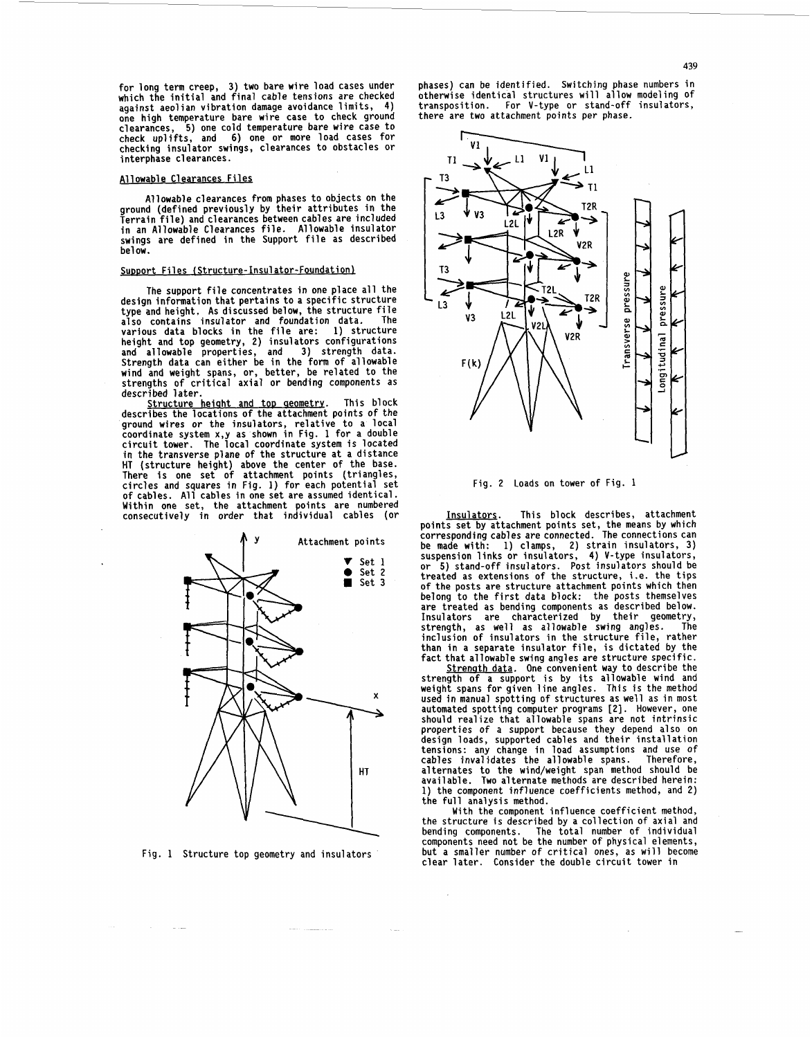<span id="page-1-0"></span>**for long term creep, 3) two bare wire load cases under which the initial and final cable tensions are checked**  one high temperature bare wire case to check ground **clearances, 5) one cold temperature bare wire case to check uplifts, and 6) one or more load cases for checking insulator swings, clearances to obstacles or interphase clearances.** 

### **A1 1 owabl e C1 earances Fi 1 es**

**Allowable clearances from phases to objects on the ground (defined previously by their attributes in the Terrain file) and clearances between cables are included in an Allowable Clearances file. Allowable insulator swings are defined in the Support file as described bel ow.** 

#### Support Files (Structure-Insulator-Foundation)

**The support file concentrates in one place all the design information that pertains to a specific structure type and height. As discussed below, the structure file**  also contains insulator and foundation data. The<br>various data blocks in the file are: 1) structure<br>height and top geometry, 2) insulators configurations<br>and allowable properties, and 3) strength data.<br>Strength data can eit **wind and weight spans, or, better, be related to the strengths of critical axial or bending components as described later.** 

**Structure heiqht and tor, qeometry. This block describes the locations** of **the attachment points of the**  ground wires or the insulators, relative to a local<br>coordinate system x,y as shown in Fig. 1 for a double<br>circuit tower. The local coordinate system is located<br>in the transverse plane of the structure at a distance HT (structure height) above the center of the base.<br>There is one set of attachment points (triangles,<br>circles and squares in Fig. 1) for each potential set<br>of cables. All cables in one set are assumed identical.<br>Within one **consecutively in order that individual cables (or** 



**Fig. 1 Structure top geometry and insulators** 

**phases) can be identified. Switching phase numbers in otherwise identical structures will allow modeling** of **transposition. For V-type or stand-off insulators, there are two attachment points per phase.** 



**Fig. 2 Loads on tower of Fig. 1** 

**Insulators. This block describes, attachment**  points set by attachment points set, the means by which<br>corresponding cables are connected. The connections can<br>be made with: 1) clamps, 2) strain insulators, 3)<br>suspension links or insulators, 4) V-type insulators,<br>or 5) **treated as extensions of the structure, i.e. the tips of the posts are structure attachment points which then belong to the first data block: the posts themselves are treated as bending components as described below. Insulators are characterized by their geometry, strength, as well as allowable swing angles. The inclusion of insulators in the structure file, rather than in a separate insulator file, is dictated by the fact that allowable swing angles are structure specific.** 

**Strenqth data. One convenient way to describe the strength of a support is by its allowable wind and weight spans for given line angles. This is the method used in manual spotting of structures as well as in most**  should realize that allowable spans are not intrinsic properties of a support because they depend also on design loads, supported cables and their installation **tensions: any change in load assumptions and use of cables invalidates the allowable spans. Therefore, a1 ternates to the wind/weight span method should be available. Two alternate methods are described herein: 1) the component influence coefficients method, and 2)** 

**the full analysis method. With the component influence coefficient method, the structure is described by a collection of axial and bending components. The total number of individual components need not be the number of physical elements, but a smaller number of critical ones, as will become clear later. Consider the double circuit tower in** 

 $\mathcal{L}$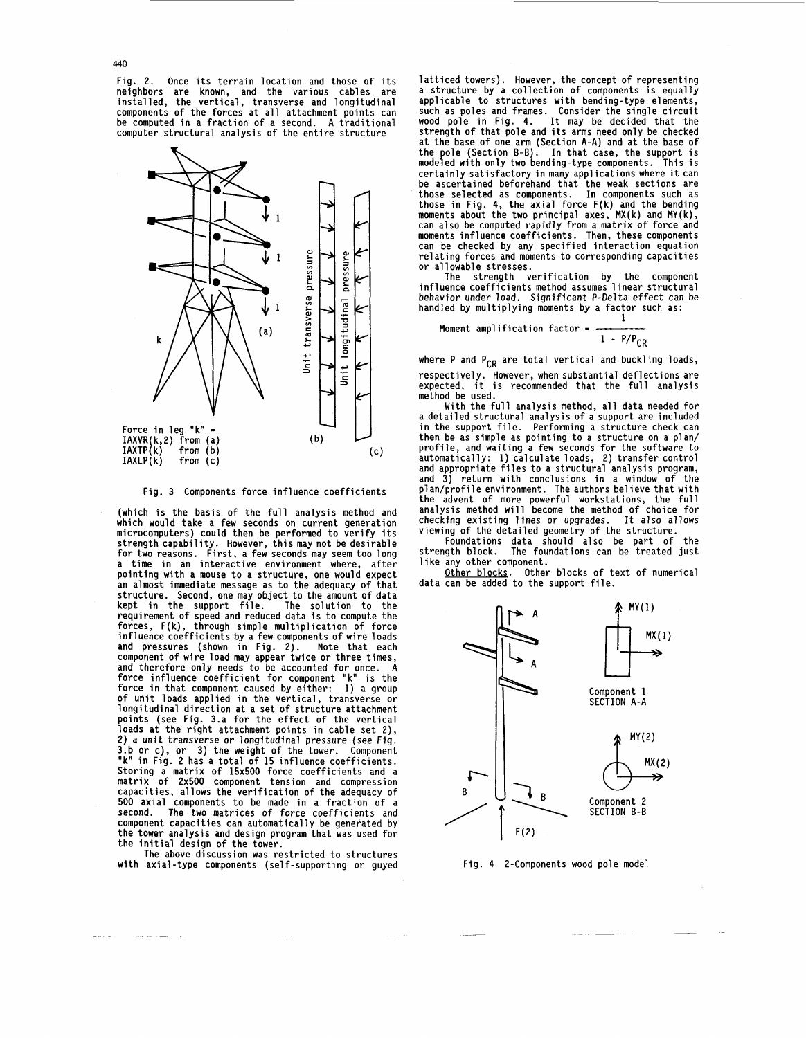440

**[Fig. 2.](#page-1-0) Once its terrain location and those of its neighbors are known, and the various cables are installed, the vertical, transverse and longitudinal components of the forces at all attachment points can be computed in a fraction of a second. A traditional computer structural analysis of the entire structure** 



**Fig. 3 Components force influence coefficients** 

**(which is the basis of the full analysis method and which would take a few seconds on current generation microcomputers) could then be performed to verify its strength capability. However, this may not be desirable**  a time in an interactive environment where, after pointing with a mouse to a structure, one would expect an almost immediate message as to the adequacy of that **structure. Second, one may object to the amount of data kept in the support file. The solution to the requirement of speed and reduced data is to compute the forces, F(k), through simple multiplication of force influence coefficients by a few components of wire loads and pressures (shown in Fig. 2). Note that each component of wire load may appear twice or three times, and therefore only needs to be accounted for once. A force influence coefficient for component "k" is the force in that component caused by either: 1) a group of unit loads applied in the vertical, transverse or longitudinal direction at a set of structure attachment points (see Fig. 3.a for the effect of the vertical loads at the right attachment points in cable set 2), 2) a unit transverse or longitudinal pressure (see Fig. 3.b or c), or 3) the weight of the tower. Component "k" in [Fig. 2](#page-1-0) has a total of 15 influence coefficients. Storing a matrix of 15x500 force coefficients and a matrix of 2x500 component tension and compression capacities, allows the verification of the adequacy** of **500 axial components to be made in a fraction of a second. The two matrices of force coefficients and component capacities can automatically be generated by the tower analysis and design program that was used for the initial design of the tower.** 

**The above discussion was restricted to structures with axial-type components (self-supporting or guyed** 

 $\sim 100$  GeV states at  $\sim 100$ 

**latticed towers). However, the concept of representing**  a structure by a correction or components is equarity<br>applicable to structures with bending-type elements,<br>such as poles and frames. Consider the single circuit<br>wood pole in Fig. 4. It may be decided that the **strength of that pole and its arms need only be checked at the base of one arm (Section A-A) and at the base of the pole (Section E-E). In that case, the support is modeled with only two bending-type components. This is**  certaining satisfactory in many applications where it can<br>those selected as components. In components such as<br>those selected as components. In components such as those serective as components. In the small force  $F(k)$  and the bending moments about the two principal axes, MX(k) and MY(k), **can also be computed rapidly from a matrix of force and**  moments influence components in the components can be checked by any specified interaction equation relating forces and moments to corresponding capacities or allowable stresses.

**The strength verification by the component influence coefficients method assumes 1 inear structural behavior under load. Significant P-Delta effect can be handled by multiplying moments by a factor such as: 1** 

**Moment amp1 ification factor** = **<sup>1</sup>**- **p/pCR** 

where P and P<sub>CR</sub> are total vertical and buckling loads, **respectively. However, when substantial deflections are expected, it is recommended that the full analysis method be used.** 

**With the full analysis method, all data needed for a detailed structural analysis of a support are included in the support file. Performing a structure check can then be as simple as pointing to a structure on a plan/ profile, and waiting a few seconds for the software to automatically: 1) calculate loads, 2) transfer control**  and appropriate files to a structural analysis program,<br>and 3) return with conclusions in a window of the<br>plan/profile environment. The authors believe that with<br>the advent of more powerful workstations, the full<br>analysis **checking existing lines or upgrades. It also allows** 

**viewing of the detailed geometry of the structure. Foundations data should also be part of the strength block. The foundations can be treated just like any other component.** 

**Other blocks. Other blocks of text of numerical data can be added to the support file.** 



**Fig. 4 2-Components wood pole model**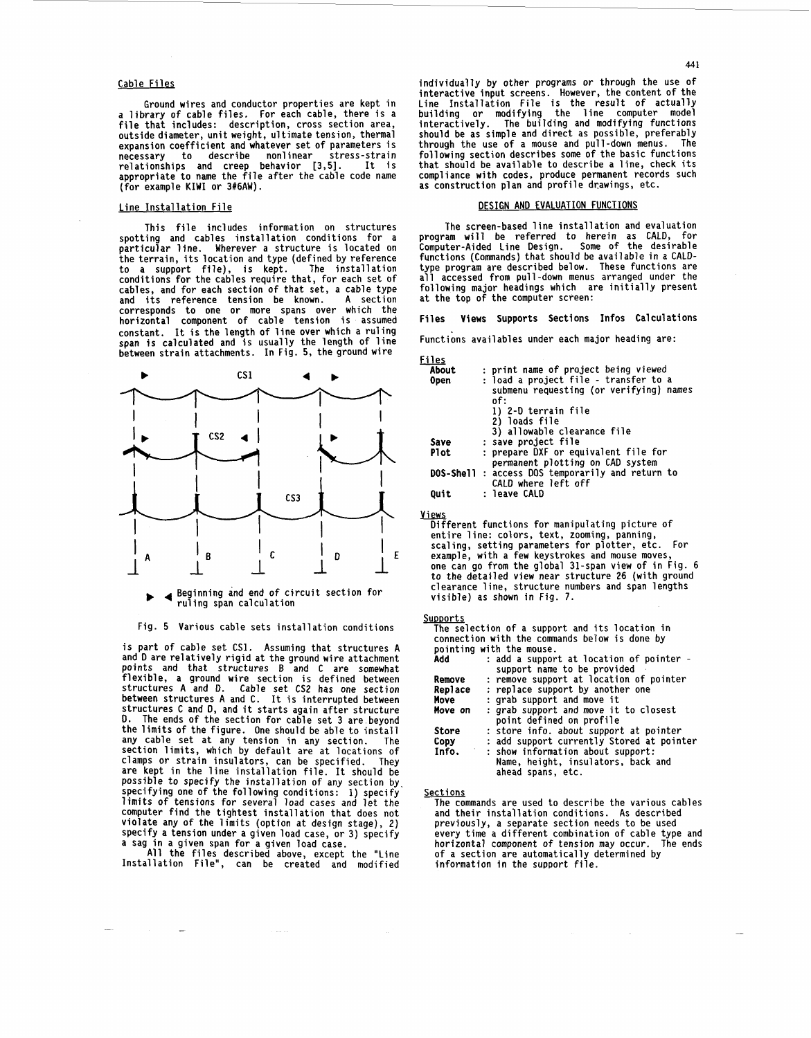### **Cable Files**

**Ground wires and conductor properties are kept in a library of cable files. For each cable, there is a file that includes: description, cross section area, outside diameter, unit weight, ultimate tension, thermal expansion coefficient and whatever set of parameters is necessary to describe nonlinear stress-strain relationships and creep behavior [3,5]. It is appropriate to name the file after the cable code name (for example KIWI or 3#6AW).** 

## **Line Installation File**

**This file includes information on structures**  particular line. Wherever a structure is located on the terrain, its location and type (defined by reference **to a support file), is kept. The installation conditions for the cables require that, for each set of cables, and for each section of that set, a cable type and its reference tension be known. A section corresponds to one or more spans over which the horizontal component of cable tension is assumed constant. It is the length of line over which a ruling span is calculated and is usually the length of line between strain attachments. In Fig. 5, the ground wire** 



#### **Beginning and end of circuit section for**  ruling span calculation

### **Fig. 5 Various cable sets installation conditions**

**is part of cable set CSl. Assuming that structures A and D are relatively rigid at the ground wire attachment points and that structures B and C are somewhat flexible, a ground wire section is defined between structures A and** *D.* **Cable set CS2 has one section between structures A and C. It is interrupted between structures C and D, and it starts again after structure D. The ends of the section for cable set 3 are.beyond the limits of the figure. One should be able to install any cable set at any tension in any section. The section limits, which by default are at locations of clamps or strain insulators, can be specified. They are kept in the line installation file. It should be possible to specify the installation of any section by specifying one of the following conditions: 1) specify limits of tensions for several load cases and let the computer find the tightest installation that does not violate any of the limits (option at design stage), 2) specify a tension under a given load case, or 3) specify a sag in a given span for a given load case.** 

**All the files described above, except the "Line Installation File", can be created and modified** 

**individually by other programs or through the use of interactive input screens. However, the content of the Line Installation File is the result of actually building or modifying the line computer model interactively. The building and modifying functions should be as simple and direct as possible, preferably through the use of a mouse and pull-down menus. The following section describes some of the basic functions that should be available to describe a line, check its**  compliance with codes, produce permanent records such as construction plan and profile drawings, etc.

# **DESIGN AND EVALUATION FUNCTIONS**

**The screen-based line installation and evaluation program will be referred to herein as CALD, for Computer-Aided Line Design. Some of the desirable functions (Commands) that should be available in a CALD**all accessed from pull-down menus arranged under the **following major headings which are initially present at the top of the computer screen:** 

## **Files Views Supports Sections Infos Calculations**

**Functions availables under each major heading are:** 

Files

| 152         |                                                  |
|-------------|--------------------------------------------------|
| About       | : print name of project being viewed             |
| 0pen        | : load a project file - transfer to a            |
|             | submenu requesting (or verifying) names          |
|             | of:                                              |
|             | 1) 2-D terrain file                              |
|             | 2) loads file                                    |
|             | 3) allowable clearance file                      |
| Save        | : save project file                              |
| <b>Plot</b> | : prepare DXF or equivalent file for             |
|             | permanent plotting on CAD system                 |
|             | DOS-Shell : access DOS temporarily and return to |
|             | CALD where left off                              |
| Quit        | : leave CALD                                     |
|             |                                                  |

Views **Different functions for manipulating picture of entire line: colors, text, zooming, panning, scaling, setting parameters for plotter, etc. For example, with a few keystrokes and mouse moves[,](#page-4-0) one can go from the global 31-span view of in [Fig. 6](#page-4-0) to the detailed view near structure 26 (with ground clearance line, structure numbers and span lengths visible) as shown in [Fig. 7.](#page-4-0)** 

## **SUDDOrtS**

**The selection of a support and its location in connection with the commands below is done by pointing with the mouse.** 

| Add          | : add a support at location of pointer -<br>support name to be provided                      |
|--------------|----------------------------------------------------------------------------------------------|
| Remove       | : remove support at location of pointer                                                      |
| Replace      | : replace support by another one                                                             |
| Move         | : grab support and move it                                                                   |
| Move on      | : grab support and move it to closest<br>point defined on profile                            |
| <b>Store</b> | : store info. about support at pointer                                                       |
| Copy         | : add support currently Stored at pointer                                                    |
| Info.        | : show information about support:<br>Name, height, insulators, back and<br>ahead spans, etc. |

**Sections** 

**The commands are used to describe the various cables and their installation conditions. As described previously, a separate section needs to be used every time a different combination of cable type and horizontal component of tension may occur. The ends of a section are automatically determined by information in the support file.**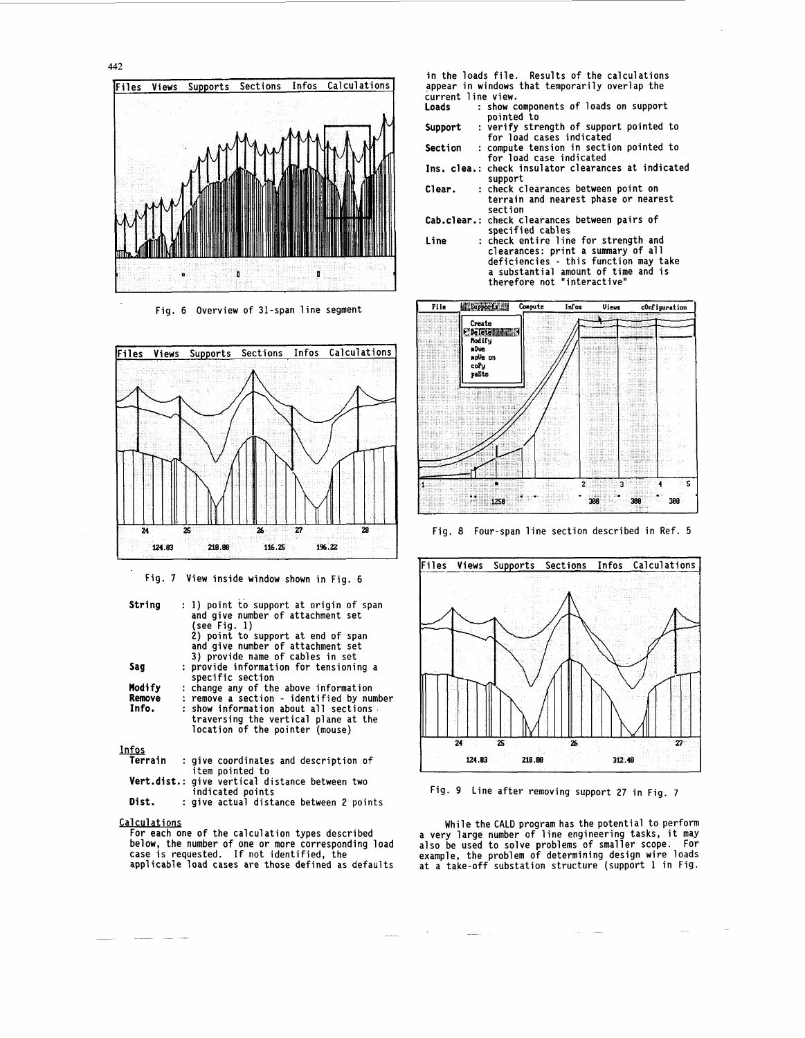<span id="page-4-0"></span>

Fig. 6 Overview of 31-span line segment



Fig. 7 View inside window shown in Fig. 6

| String  | : 1) point to support at origin of span<br>and give number of attachment set<br>(see Fig. 1)<br>2) point to support at end of span<br>and give number of attachment set<br>3) provide name of cables in set |
|---------|-------------------------------------------------------------------------------------------------------------------------------------------------------------------------------------------------------------|
| Sag     | : provide information for tensioning a                                                                                                                                                                      |
|         | specific section                                                                                                                                                                                            |
| Modify  | : change any of the above information                                                                                                                                                                       |
|         |                                                                                                                                                                                                             |
| Remove  | : remove a section - identified by number                                                                                                                                                                   |
| Info.   | : show information about all sections .                                                                                                                                                                     |
|         | traversing the vertical plane at the<br>location of the pointer (mouse)                                                                                                                                     |
| Infos   |                                                                                                                                                                                                             |
| Terrain | : give coordinates and description of                                                                                                                                                                       |
|         |                                                                                                                                                                                                             |

| , , , , , , , , , , | . YIVE COUTUTHALES AND DESCITIFION OF                              |
|---------------------|--------------------------------------------------------------------|
|                     | item pointed to                                                    |
|                     | Vert.dist.: give vertical distance between two<br>indicated points |
| Dist.               | : give actual distance between 2 points                            |

**Calculations** 

For each one of the calculation types described below, the number of one **or** more corresponding load case *is* requested. If not identified, the applicable load cases are those defined as defaults

- in the loads file. Results of the calculations appear in windows that temporarily overlap the
- current line view.<br>Loads : show c : show components of loads on support pointed to
- Support pointed to<br>: verify strength of support pointed to<br>for load cases indicated
- Section for load case indicated : compute tension in section pointed to
- Ins. clea.: check insulator clearances at indicated
- support<br>: check clearances between point on Clear. : check clearances between point on terrain and nearest phase or nearest section
- Cab.clear.: check clearances between pairs of
- specified cables<br>Line : check entire line for strength and clearances: print a summary of all deficiencies - this function may take a substantial amount of time and is therefore not "interactive"



Fig. 8 Four-span line section described in **Ref. <sup>5</sup>**



Fig. 9 Line after removing support 27 in Fig. 7

While the CALD program has the potential to perform a very large number of line engineering tasks, it may also be used to solve problems of smaller scope. For example, the problem of determining design wire loads at a take-off substation structure (support 1 in Fig.